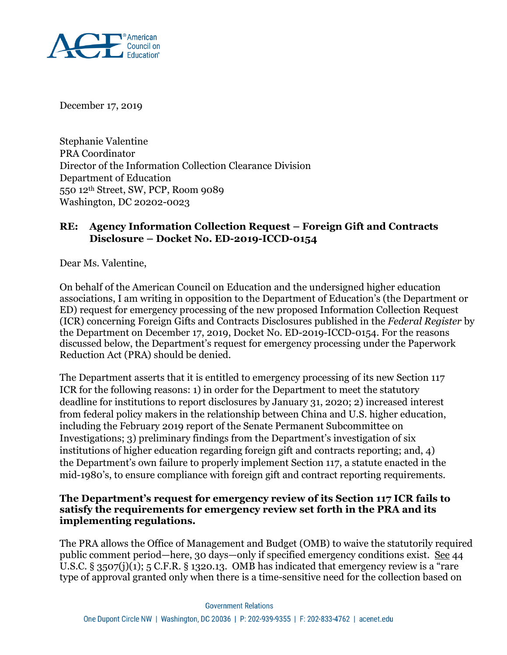

December 17, 2019

Stephanie Valentine PRA Coordinator Director of the Information Collection Clearance Division Department of Education 550 12th Street, SW, PCP, Room 9089 Washington, DC 20202-0023

## **RE: Agency Information Collection Request – Foreign Gift and Contracts Disclosure – Docket No. ED-2019-ICCD-0154**

Dear Ms. Valentine,

On behalf of the American Council on Education and the undersigned higher education associations, I am writing in opposition to the Department of Education's (the Department or ED) request for emergency processing of the new proposed Information Collection Request (ICR) concerning Foreign Gifts and Contracts Disclosures published in the *Federal Register* by the Department on December 17, 2019, Docket No. ED-2019-ICCD-0154. For the reasons discussed below, the Department's request for emergency processing under the Paperwork Reduction Act (PRA) should be denied.

The Department asserts that it is entitled to emergency processing of its new Section 117 ICR for the following reasons: 1) in order for the Department to meet the statutory deadline for institutions to report disclosures by January 31, 2020; 2) increased interest from federal policy makers in the relationship between China and U.S. higher education, including the February 2019 report of the Senate Permanent Subcommittee on Investigations; 3) preliminary findings from the Department's investigation of six institutions of higher education regarding foreign gift and contracts reporting; and, 4) the Department's own failure to properly implement Section 117, a statute enacted in the mid-1980's, to ensure compliance with foreign gift and contract reporting requirements.

## **The Department's request for emergency review of its Section 117 ICR fails to satisfy the requirements for emergency review set forth in the PRA and its implementing regulations.**

The PRA allows the Office of Management and Budget (OMB) to waive the statutorily required public comment period—here, 30 days—only if specified emergency conditions exist. See 44 U.S.C. § 3507(j)(1); 5 C.F.R. § 1320.13. OMB has indicated that emergency review is a "rare type of approval granted only when there is a time-sensitive need for the collection based on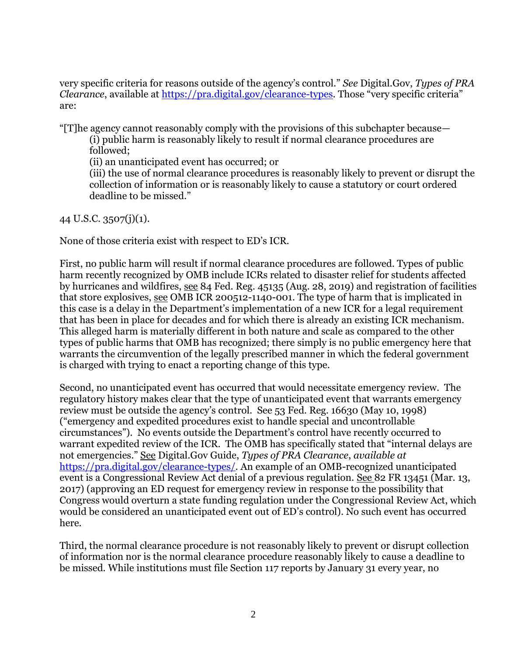very specific criteria for reasons outside of the agency's control." *See* Digital.Gov, *Types of PRA Clearance*, available at <https://pra.digital.gov/clearance-types>. Those "very specific criteria" are:

"[T]he agency cannot reasonably comply with the provisions of this subchapter because—

(i) public harm is reasonably likely to result if normal clearance procedures are followed;

(ii) an unanticipated event has occurred; or

(iii) the use of normal clearance procedures is reasonably likely to prevent or disrupt the collection of information or is reasonably likely to cause a statutory or court ordered deadline to be missed."

44 U.S.C. 3507(j)(1).

None of those criteria exist with respect to ED's ICR.

First, no public harm will result if normal clearance procedures are followed. Types of public harm recently recognized by OMB include ICRs related to disaster relief for students affected by hurricanes and wildfires, see 84 Fed. Reg. 45135 (Aug. 28, 2019) and registration of facilities that store explosives, see OMB ICR 200512-1140-001. The type of harm that is implicated in this case is a delay in the Department's implementation of a new ICR for a legal requirement that has been in place for decades and for which there is already an existing ICR mechanism. This alleged harm is materially different in both nature and scale as compared to the other types of public harms that OMB has recognized; there simply is no public emergency here that warrants the circumvention of the legally prescribed manner in which the federal government is charged with trying to enact a reporting change of this type.

Second, no unanticipated event has occurred that would necessitate emergency review. The regulatory history makes clear that the type of unanticipated event that warrants emergency review must be outside the agency's control. See 53 Fed. Reg. 16630 (May 10, 1998) ("emergency and expedited procedures exist to handle special and uncontrollable circumstances"). No events outside the Department's control have recently occurred to warrant expedited review of the ICR. The OMB has specifically stated that "internal delays are not emergencies." See Digital.Gov Guide, *Types of PRA Clearance*, *available at* [https://pra.digital.gov/clearance-types/.](https://pra.digital.gov/clearance-types/) An example of an OMB-recognized unanticipated event is a Congressional Review Act denial of a previous regulation. See 82 FR 13451 (Mar. 13, 2017) (approving an ED request for emergency review in response to the possibility that Congress would overturn a state funding regulation under the Congressional Review Act, which would be considered an unanticipated event out of ED's control). No such event has occurred here.

Third, the normal clearance procedure is not reasonably likely to prevent or disrupt collection of information nor is the normal clearance procedure reasonably likely to cause a deadline to be missed. While institutions must file Section 117 reports by January 31 every year, no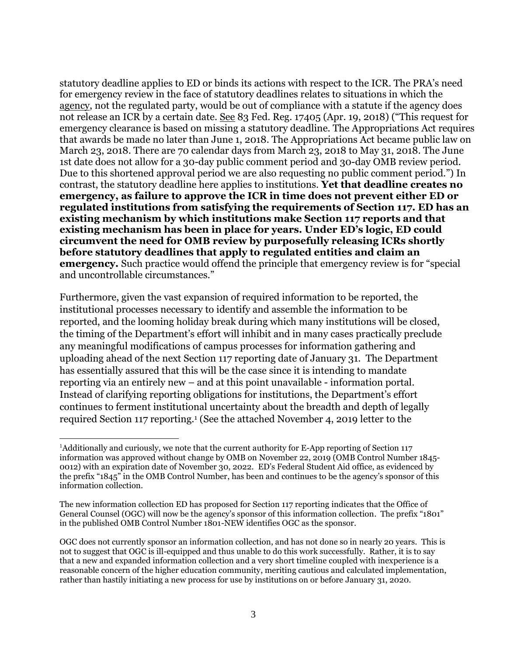statutory deadline applies to ED or binds its actions with respect to the ICR. The PRA's need for emergency review in the face of statutory deadlines relates to situations in which the agency, not the regulated party, would be out of compliance with a statute if the agency does not release an ICR by a certain date. See 83 Fed. Reg. 17405 (Apr. 19, 2018) ("This request for emergency clearance is based on missing a statutory deadline. The Appropriations Act requires that awards be made no later than June 1, 2018. The Appropriations Act became public law on March 23, 2018. There are 70 calendar days from March 23, 2018 to May 31, 2018. The June 1st date does not allow for a 30-day public comment period and 30-day OMB review period. Due to this shortened approval period we are also requesting no public comment period.") In contrast, the statutory deadline here applies to institutions. **Yet that deadline creates no emergency, as failure to approve the ICR in time does not prevent either ED or regulated institutions from satisfying the requirements of Section 117. ED has an existing mechanism by which institutions make Section 117 reports and that existing mechanism has been in place for years. Under ED's logic, ED could circumvent the need for OMB review by purposefully releasing ICRs shortly before statutory deadlines that apply to regulated entities and claim an emergency.** Such practice would offend the principle that emergency review is for "special" and uncontrollable circumstances."

Furthermore, given the vast expansion of required information to be reported, the institutional processes necessary to identify and assemble the information to be reported, and the looming holiday break during which many institutions will be closed, the timing of the Department's effort will inhibit and in many cases practically preclude any meaningful modifications of campus processes for information gathering and uploading ahead of the next Section 117 reporting date of January 31. The Department has essentially assured that this will be the case since it is intending to mandate reporting via an entirely new – and at this point unavailable - information portal. Instead of clarifying reporting obligations for institutions, the Department's effort continues to ferment institutional uncertainty about the breadth and depth of legally required Section 117 reporting.<sup>1</sup> (See the attached November 4, 2019 letter to the

 $\overline{a}$ 

<sup>1</sup>Additionally and curiously, we note that the current authority for E-App reporting of Section 117 information was approved without change by OMB on November 22, 2019 (OMB Control Number 1845- 0012) with an expiration date of November 30, 2022. ED's Federal Student Aid office, as evidenced by the prefix "1845" in the OMB Control Number, has been and continues to be the agency's sponsor of this information collection.

The new information collection ED has proposed for Section 117 reporting indicates that the Office of General Counsel (OGC) will now be the agency's sponsor of this information collection. The prefix "1801" in the published OMB Control Number 1801-NEW identifies OGC as the sponsor.

OGC does not currently sponsor an information collection, and has not done so in nearly 20 years. This is not to suggest that OGC is ill-equipped and thus unable to do this work successfully. Rather, it is to say that a new and expanded information collection and a very short timeline coupled with inexperience is a reasonable concern of the higher education community, meriting cautious and calculated implementation, rather than hastily initiating a new process for use by institutions on or before January 31, 2020.